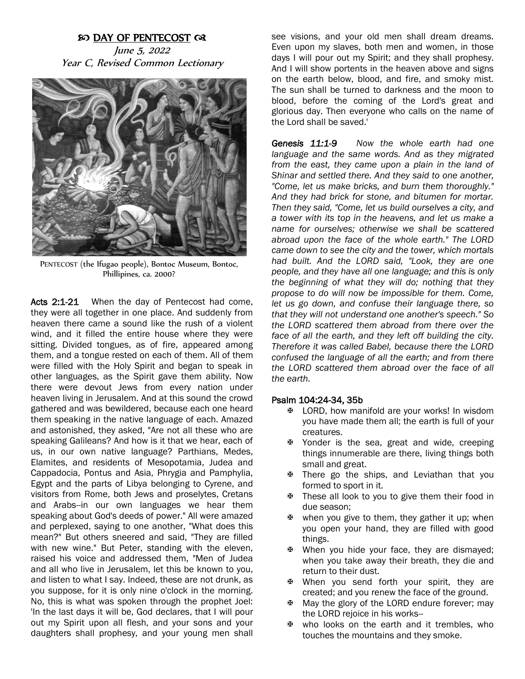## SO DAY OF PENTECOST QQ

June 5, 2022 Year C, Revised Common Lectionary



PENTECOST (the Ifugao people), Bontoc Museum, Bontoc, Phillipines, ca. 2000?

Acts 2:1-21 When the day of Pentecost had come, they were all together in one place. And suddenly from heaven there came a sound like the rush of a violent wind, and it filled the entire house where they were sitting. Divided tongues, as of fire, appeared among them, and a tongue rested on each of them. All of them were filled with the Holy Spirit and began to speak in other languages, as the Spirit gave them ability. Now there were devout Jews from every nation under heaven living in Jerusalem. And at this sound the crowd gathered and was bewildered, because each one heard them speaking in the native language of each. Amazed and astonished, they asked, "Are not all these who are speaking Galileans? And how is it that we hear, each of us, in our own native language? Parthians, Medes, Elamites, and residents of Mesopotamia, Judea and Cappadocia, Pontus and Asia, Phrygia and Pamphylia, Egypt and the parts of Libya belonging to Cyrene, and visitors from Rome, both Jews and proselytes, Cretans and Arabs--in our own languages we hear them speaking about God's deeds of power." All were amazed and perplexed, saying to one another, "What does this mean?" But others sneered and said, "They are filled with new wine." But Peter, standing with the eleven, raised his voice and addressed them, "Men of Judea and all who live in Jerusalem, let this be known to you, and listen to what I say. Indeed, these are not drunk, as you suppose, for it is only nine o'clock in the morning. No, this is what was spoken through the prophet Joel: 'In the last days it will be, God declares, that I will pour out my Spirit upon all flesh, and your sons and your daughters shall prophesy, and your young men shall see visions, and your old men shall dream dreams. Even upon my slaves, both men and women, in those days I will pour out my Spirit; and they shall prophesy. And I will show portents in the heaven above and signs on the earth below, blood, and fire, and smoky mist. The sun shall be turned to darkness and the moon to blood, before the coming of the Lord's great and glorious day. Then everyone who calls on the name of the Lord shall be saved.'

*Genesis 11:1-9 Now the whole earth had one language and the same words. And as they migrated from the east, they came upon a plain in the land of Shinar and settled there. And they said to one another, "Come, let us make bricks, and burn them thoroughly." And they had brick for stone, and bitumen for mortar. Then they said, "Come, let us build ourselves a city, and a tower with its top in the heavens, and let us make a name for ourselves; otherwise we shall be scattered abroad upon the face of the whole earth." The LORD came down to see the city and the tower, which mortals had built. And the LORD said, "Look, they are one people, and they have all one language; and this is only the beginning of what they will do; nothing that they propose to do will now be impossible for them. Come, let us go down, and confuse their language there, so that they will not understand one another's speech." So the LORD scattered them abroad from there over the face of all the earth, and they left off building the city. Therefore it was called Babel, because there the LORD confused the language of all the earth; and from there the LORD scattered them abroad over the face of all the earth.*

## Psalm 104:24-34, 35b

- ? LORD, how manifold are your works! In wisdom you have made them all; the earth is full of your creatures.
- ? Yonder is the sea, great and wide, creeping things innumerable are there, living things both small and great.
- **EX** There go the ships, and Leviathan that you formed to sport in it.
- ? These all look to you to give them their food in due season;
- $\mathfrak{B}$  when you give to them, they gather it up; when you open your hand, they are filled with good things.
- ? When you hide your face, they are dismayed; when you take away their breath, they die and return to their dust.
- ? When you send forth your spirit, they are created; and you renew the face of the ground.
- ? May the glory of the LORD endure forever; may the LORD rejoice in his works--
- ? who looks on the earth and it trembles, who touches the mountains and they smoke.